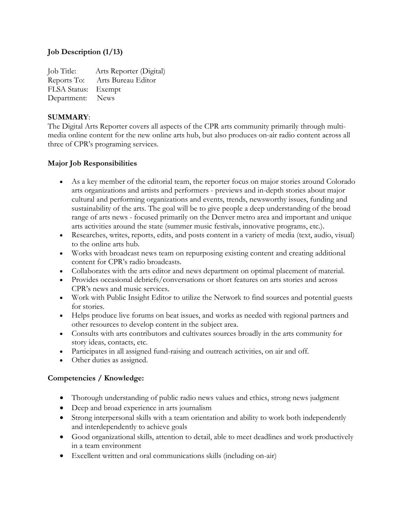# **Job Description (1/13)**

Job Title: Arts Reporter (Digital) Reports To: Arts Bureau Editor FLSA Status: Exempt Department: News

#### **SUMMARY**:

The Digital Arts Reporter covers all aspects of the CPR arts community primarily through multimedia online content for the new online arts hub, but also produces on-air radio content across all three of CPR's programing services.

### **Major Job Responsibilities**

- As a key member of the editorial team, the reporter focus on major stories around Colorado arts organizations and artists and performers - previews and in-depth stories about major cultural and performing organizations and events, trends, newsworthy issues, funding and sustainability of the arts. The goal will be to give people a deep understanding of the broad range of arts news - focused primarily on the Denver metro area and important and unique arts activities around the state (summer music festivals, innovative programs, etc.).
- Researches, writes, reports, edits, and posts content in a variety of media (text, audio, visual) to the online arts hub.
- Works with broadcast news team on repurposing existing content and creating additional content for CPR's radio broadcasts.
- Collaborates with the arts editor and news department on optimal placement of material.
- Provides occasional debriefs/conversations or short features on arts stories and across CPR's news and music services.
- Work with Public Insight Editor to utilize the Network to find sources and potential guests for stories.
- Helps produce live forums on beat issues, and works as needed with regional partners and other resources to develop content in the subject area.
- Consults with arts contributors and cultivates sources broadly in the arts community for story ideas, contacts, etc.
- Participates in all assigned fund-raising and outreach activities, on air and off.
- Other duties as assigned.

### **Competencies / Knowledge:**

- Thorough understanding of public radio news values and ethics, strong news judgment
- Deep and broad experience in arts journalism
- Strong interpersonal skills with a team orientation and ability to work both independently and interdependently to achieve goals
- Good organizational skills, attention to detail, able to meet deadlines and work productively in a team environment
- Excellent written and oral communications skills (including on-air)